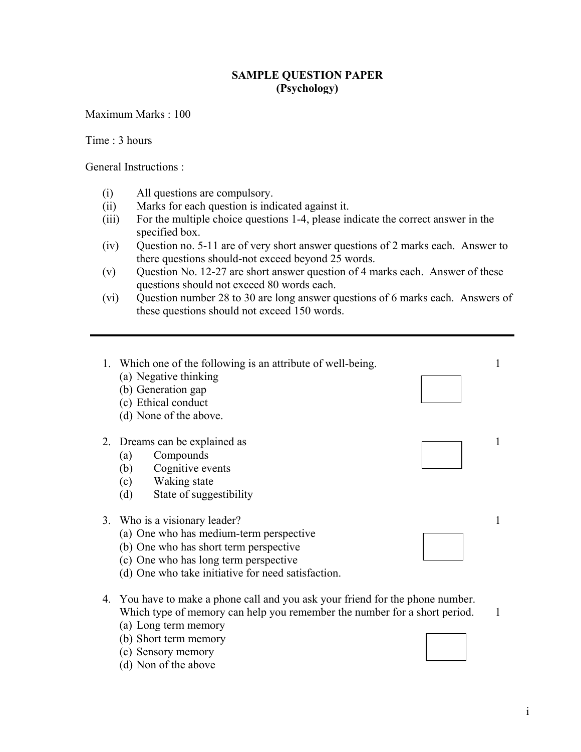## **SAMPLE QUESTION PAPER (Psychology)**

Maximum Marks : 100

Time : 3 hours

General Instructions :

- (i) All questions are compulsory.
- (ii) Marks for each question is indicated against it.
- (iii) For the multiple choice questions 1-4, please indicate the correct answer in the specified box.
- (iv) Question no. 5-11 are of very short answer questions of 2 marks each. Answer to there questions should-not exceed beyond 25 words.
- (v) Question No. 12-27 are short answer question of 4 marks each. Answer of these questions should not exceed 80 words each.
- (vi) Question number 28 to 30 are long answer questions of 6 marks each. Answers of these questions should not exceed 150 words.



- (b) Short term memory
- (c) Sensory memory
- (d) Non of the above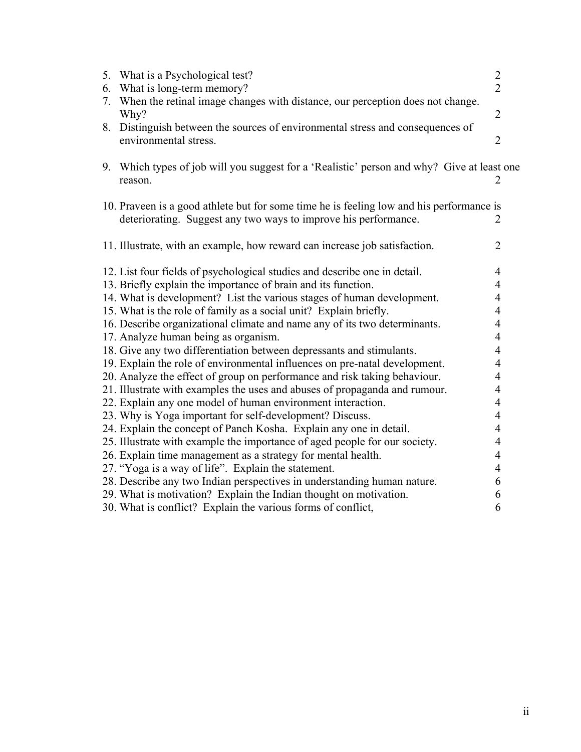| 6. | 5. What is a Psychological test?<br>What is long-term memory?                                         | $\overline{2}$<br>$\overline{2}$ |
|----|-------------------------------------------------------------------------------------------------------|----------------------------------|
| 7. | When the retinal image changes with distance, our perception does not change.                         |                                  |
|    | Why?                                                                                                  | $\overline{2}$                   |
| 8. | Distinguish between the sources of environmental stress and consequences of<br>environmental stress.  | $\overline{2}$                   |
|    | 9. Which types of job will you suggest for a 'Realistic' person and why? Give at least one<br>reason. |                                  |
|    | 10. Praveen is a good athlete but for some time he is feeling low and his performance is              |                                  |
|    | deteriorating. Suggest any two ways to improve his performance.                                       | 2                                |
|    |                                                                                                       |                                  |
|    | 11. Illustrate, with an example, how reward can increase job satisfaction.                            | $\overline{2}$                   |
|    | 12. List four fields of psychological studies and describe one in detail.                             | 4                                |
|    | 13. Briefly explain the importance of brain and its function.                                         | 4                                |
|    | 14. What is development? List the various stages of human development.                                | $\overline{4}$                   |
|    | 15. What is the role of family as a social unit? Explain briefly.                                     | $\overline{\mathcal{A}}$         |
|    | 16. Describe organizational climate and name any of its two determinants.                             | $\overline{4}$                   |
|    | 17. Analyze human being as organism.                                                                  | $\overline{4}$                   |
|    | 18. Give any two differentiation between depressants and stimulants.                                  | 4                                |
|    | 19. Explain the role of environmental influences on pre-natal development.                            | 4                                |
|    | 20. Analyze the effect of group on performance and risk taking behaviour.                             | $\overline{4}$                   |
|    | 21. Illustrate with examples the uses and abuses of propaganda and rumour.                            | $\overline{4}$                   |
|    | 22. Explain any one model of human environment interaction.                                           | $\overline{4}$                   |
|    | 23. Why is Yoga important for self-development? Discuss.                                              | $\overline{4}$                   |
|    | 24. Explain the concept of Panch Kosha. Explain any one in detail.                                    | $\overline{4}$                   |
|    | 25. Illustrate with example the importance of aged people for our society.                            | 4                                |
|    | 26. Explain time management as a strategy for mental health.                                          | $\overline{4}$                   |
|    | 27. "Yoga is a way of life". Explain the statement.                                                   | $\overline{4}$                   |
|    | 28. Describe any two Indian perspectives in understanding human nature.                               | 6                                |
|    | 29. What is motivation? Explain the Indian thought on motivation.                                     | 6                                |
|    | 30. What is conflict? Explain the various forms of conflict,                                          | 6                                |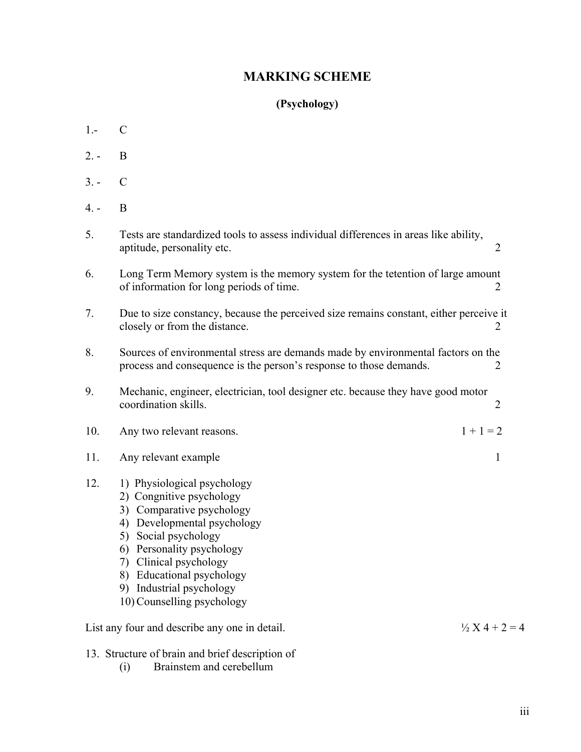## **MARKING SCHEME**

## **(Psychology)**

- 1.- C
- 2. B
- $3. C$
- 4. B

| 5.                                                                         | Tests are standardized tools to assess individual differences in areas like ability,<br>aptitude, personality etc.                                                                                                                                                                              | $\overline{2}$ |  |
|----------------------------------------------------------------------------|-------------------------------------------------------------------------------------------------------------------------------------------------------------------------------------------------------------------------------------------------------------------------------------------------|----------------|--|
| 6.                                                                         | Long Term Memory system is the memory system for the tetention of large amount<br>of information for long periods of time.                                                                                                                                                                      | 2              |  |
| 7.                                                                         | Due to size constancy, because the perceived size remains constant, either perceive it<br>closely or from the distance.                                                                                                                                                                         | $\overline{2}$ |  |
| 8.                                                                         | Sources of environmental stress are demands made by environmental factors on the<br>process and consequence is the person's response to those demands.<br>2                                                                                                                                     |                |  |
| 9.                                                                         | Mechanic, engineer, electrician, tool designer etc. because they have good motor<br>coordination skills.                                                                                                                                                                                        | $\overline{2}$ |  |
| 10.                                                                        | Any two relevant reasons.                                                                                                                                                                                                                                                                       | $1 + 1 = 2$    |  |
| 11.                                                                        | Any relevant example                                                                                                                                                                                                                                                                            | 1              |  |
| 12.                                                                        | 1) Physiological psychology<br>2) Congnitive psychology<br>3) Comparative psychology<br>Developmental psychology<br>4)<br>Social psychology<br>5)<br>6) Personality psychology<br>7) Clinical psychology<br>8) Educational psychology<br>9) Industrial psychology<br>10) Counselling psychology |                |  |
| $\frac{1}{2}$ X 4 + 2 = 4<br>List any four and describe any one in detail. |                                                                                                                                                                                                                                                                                                 |                |  |

- 13. Structure of brain and brief description of<br>(i) Brainstem and cerebellum
	- Brainstem and cerebellum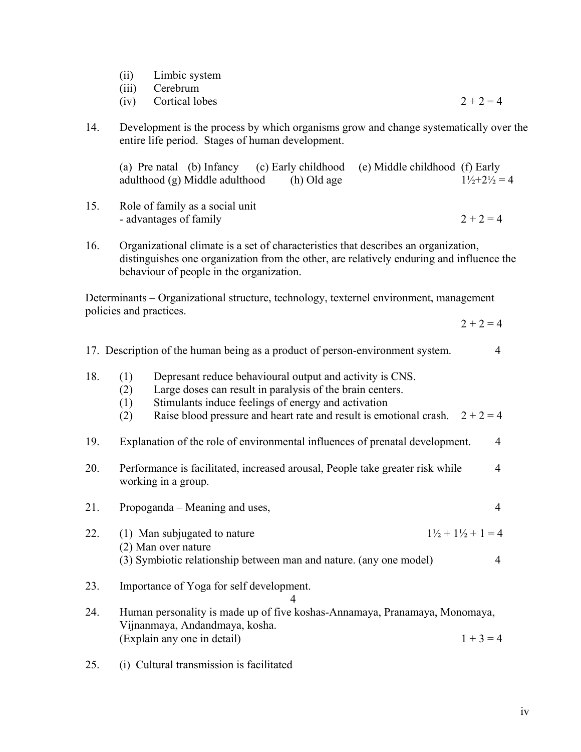| (ii) | Limbic system |
|------|---------------|
|      |               |
|      |               |

(iii) Cerebrum

- (iv) Cortical lobes  $2 + 2 = 4$
- 14. Development is the process by which organisms grow and change systematically over the entire life period. Stages of human development.

(a) Pre natal (b) Infancy (c) Early childhood (e) Middle childhood (f) Early adulthood (g) Middle adulthood (h) Old age  $1\frac{1}{2}+2\frac{1}{2}=4$ 

- 15. Role of family as a social unit - advantages of family  $2 + 2 = 4$
- 16. Organizational climate is a set of characteristics that describes an organization, distinguishes one organization from the other, are relatively enduring and influence the behaviour of people in the organization.

Determinants – Organizational structure, technology, texternel environment, management policies and practices.

 $2 + 2 = 4$ 

- 17. Description of the human being as a product of person-environment system. 4
- 18. (1) Depresant reduce behavioural output and activity is CNS.
	- (2) Large doses can result in paralysis of the brain centers.
	- (1) Stimulants induce feelings of energy and activation
	- (2) Raise blood pressure and heart rate and result is emotional crash.  $2 + 2 = 4$
- 19. Explanation of the role of environmental influences of prenatal development. 4
- 20. Performance is facilitated, increased arousal, People take greater risk while 4 working in a group.
- 21. Propoganda Meaning and uses, 4
- 22. (1) Man subjugated to nature  $1\frac{1}{2} + 1\frac{1}{2} + 1 = 4$ (2) Man over nature (3) Symbiotic relationship between man and nature. (any one model) 4
- 23. Importance of Yoga for self development.

## 4

- 24. Human personality is made up of five koshas-Annamaya, Pranamaya, Monomaya, Vijnanmaya, Andandmaya, kosha. (Explain any one in detail)  $1 + 3 = 4$
- 25. (i) Cultural transmission is facilitated